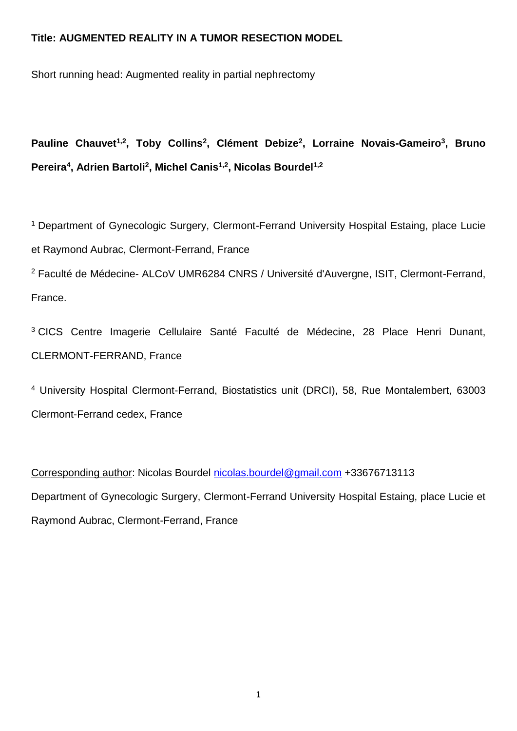# **Title: AUGMENTED REALITY IN A TUMOR RESECTION MODEL**

Short running head: Augmented reality in partial nephrectomy

**Pauline Chauvet1,2, Toby Collins<sup>2</sup> , Clément Debize<sup>2</sup> , Lorraine Novais-Gameiro<sup>3</sup> , Bruno Pereira<sup>4</sup> , Adrien Bartoli<sup>2</sup> , Michel Canis1,2, Nicolas Bourdel1,2**

<sup>1</sup> Department of Gynecologic Surgery, Clermont-Ferrand University Hospital Estaing, place Lucie et Raymond Aubrac, Clermont-Ferrand, France

<sup>2</sup> Faculté de Médecine- ALCoV UMR6284 CNRS / Université d'Auvergne, ISIT, Clermont-Ferrand, France.

<sup>3</sup> CICS Centre Imagerie Cellulaire Santé Faculté de Médecine, 28 Place Henri Dunant, CLERMONT-FERRAND, France

<sup>4</sup> University Hospital Clermont-Ferrand, Biostatistics unit (DRCI), 58, Rue Montalembert, 63003 Clermont-Ferrand cedex, France

Corresponding author: Nicolas Bourdel [nicolas.bourdel@gmail.com](mailto:nicolas.bourdel@gmail.com) +33676713113 Department of Gynecologic Surgery, Clermont-Ferrand University Hospital Estaing, place Lucie et Raymond Aubrac, Clermont-Ferrand, France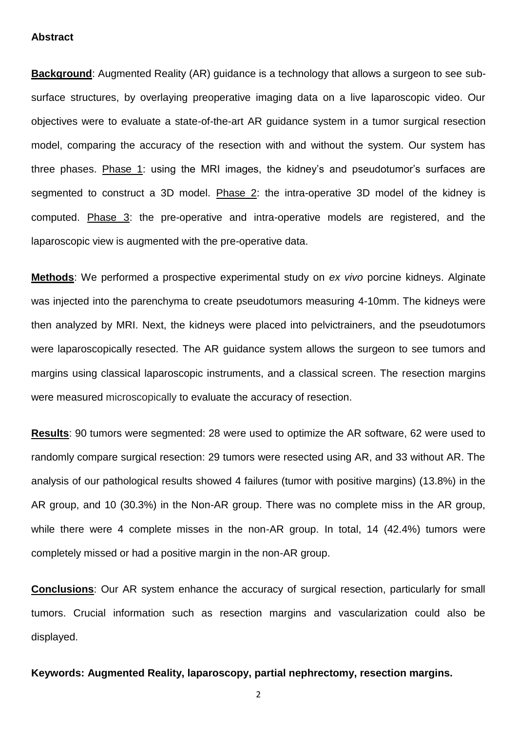### **Abstract**

**Background:** Augmented Reality (AR) guidance is a technology that allows a surgeon to see subsurface structures, by overlaying preoperative imaging data on a live laparoscopic video. Our objectives were to evaluate a state-of-the-art AR guidance system in a tumor surgical resection model, comparing the accuracy of the resection with and without the system. Our system has three phases. Phase 1: using the MRI images, the kidney's and pseudotumor's surfaces are segmented to construct a 3D model. Phase 2: the intra-operative 3D model of the kidney is computed. Phase 3: the pre-operative and intra-operative models are registered, and the laparoscopic view is augmented with the pre-operative data.

**Methods**: We performed a prospective experimental study on *ex vivo* porcine kidneys. Alginate was injected into the parenchyma to create pseudotumors measuring 4-10mm. The kidneys were then analyzed by MRI. Next, the kidneys were placed into pelvictrainers, and the pseudotumors were laparoscopically resected. The AR guidance system allows the surgeon to see tumors and margins using classical laparoscopic instruments, and a classical screen. The resection margins were measured microscopically to evaluate the accuracy of resection.

**Results**: 90 tumors were segmented: 28 were used to optimize the AR software, 62 were used to randomly compare surgical resection: 29 tumors were resected using AR, and 33 without AR. The analysis of our pathological results showed 4 failures (tumor with positive margins) (13.8%) in the AR group, and 10 (30.3%) in the Non-AR group. There was no complete miss in the AR group, while there were 4 complete misses in the non-AR group. In total, 14 (42.4%) tumors were completely missed or had a positive margin in the non-AR group.

**Conclusions**: Our AR system enhance the accuracy of surgical resection, particularly for small tumors. Crucial information such as resection margins and vascularization could also be displayed.

### **Keywords: Augmented Reality, laparoscopy, partial nephrectomy, resection margins.**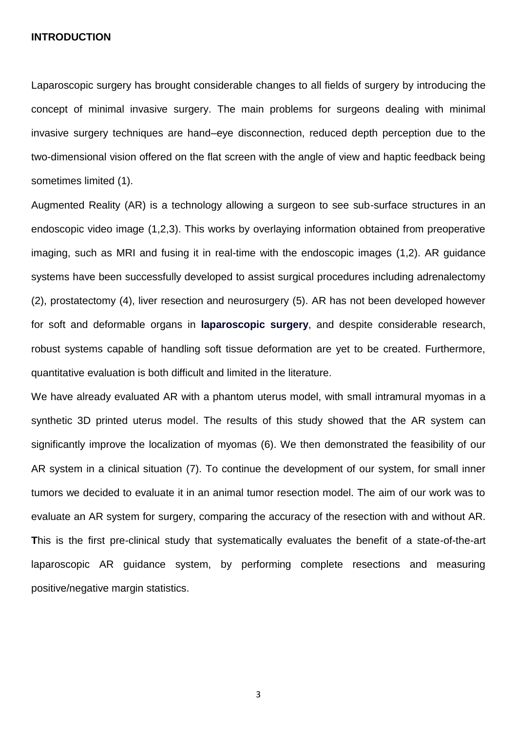#### **INTRODUCTION**

Laparoscopic surgery has brought considerable changes to all fields of surgery by introducing the concept of minimal invasive surgery. The main problems for surgeons dealing with minimal invasive surgery techniques are hand–eye disconnection, reduced depth perception due to the two-dimensional vision offered on the flat screen with the angle of view and haptic feedback being sometimes limited (1).

Augmented Reality (AR) is a technology allowing a surgeon to see sub-surface structures in an endoscopic video image (1,2,3). This works by overlaying information obtained from preoperative imaging, such as MRI and fusing it in real-time with the endoscopic images (1,2). AR guidance systems have been successfully developed to assist surgical procedures including adrenalectomy (2), prostatectomy (4), liver resection and neurosurgery (5). AR has not been developed however for soft and deformable organs in **laparoscopic surgery**, and despite considerable research, robust systems capable of handling soft tissue deformation are yet to be created. Furthermore, quantitative evaluation is both difficult and limited in the literature.

We have already evaluated AR with a phantom uterus model, with small intramural myomas in a synthetic 3D printed uterus model. The results of this study showed that the AR system can significantly improve the localization of myomas (6). We then demonstrated the feasibility of our AR system in a clinical situation (7). To continue the development of our system, for small inner tumors we decided to evaluate it in an animal tumor resection model. The aim of our work was to evaluate an AR system for surgery, comparing the accuracy of the resection with and without AR. **T**his is the first pre-clinical study that systematically evaluates the benefit of a state-of-the-art laparoscopic AR guidance system, by performing complete resections and measuring positive/negative margin statistics.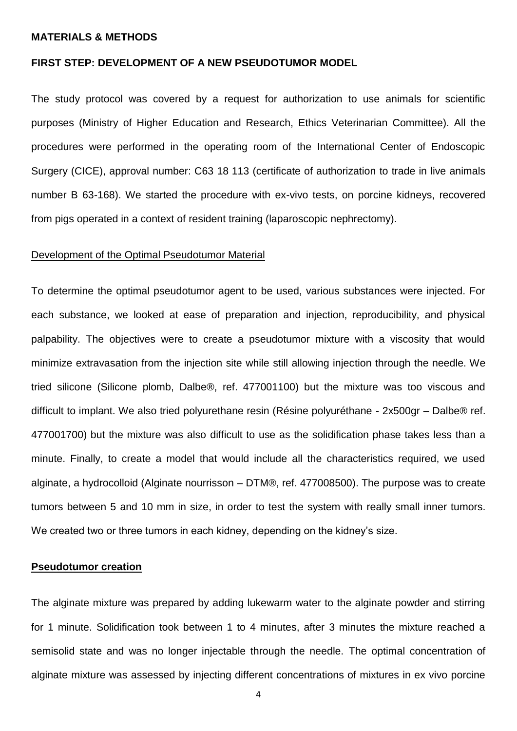#### **MATERIALS & METHODS**

# **FIRST STEP: DEVELOPMENT OF A NEW PSEUDOTUMOR MODEL**

The study protocol was covered by a request for authorization to use animals for scientific purposes (Ministry of Higher Education and Research, Ethics Veterinarian Committee). All the procedures were performed in the operating room of the International Center of Endoscopic Surgery (CICE), approval number: C63 18 113 (certificate of authorization to trade in live animals number B 63-168). We started the procedure with ex-vivo tests, on porcine kidneys, recovered from pigs operated in a context of resident training (laparoscopic nephrectomy).

### Development of the Optimal Pseudotumor Material

To determine the optimal pseudotumor agent to be used, various substances were injected. For each substance, we looked at ease of preparation and injection, reproducibility, and physical palpability. The objectives were to create a pseudotumor mixture with a viscosity that would minimize extravasation from the injection site while still allowing injection through the needle. We tried silicone (Silicone plomb, Dalbe®, ref. 477001100) but the mixture was too viscous and difficult to implant. We also tried polyurethane resin (Résine polyuréthane - 2x500gr – Dalbe® ref. 477001700) but the mixture was also difficult to use as the solidification phase takes less than a minute. Finally, to create a model that would include all the characteristics required, we used alginate, a hydrocolloid (Alginate nourrisson – DTM®, ref. 477008500). The purpose was to create tumors between 5 and 10 mm in size, in order to test the system with really small inner tumors. We created two or three tumors in each kidney, depending on the kidney's size.

# **Pseudotumor creation**

The alginate mixture was prepared by adding lukewarm water to the alginate powder and stirring for 1 minute. Solidification took between 1 to 4 minutes, after 3 minutes the mixture reached a semisolid state and was no longer injectable through the needle. The optimal concentration of alginate mixture was assessed by injecting different concentrations of mixtures in ex vivo porcine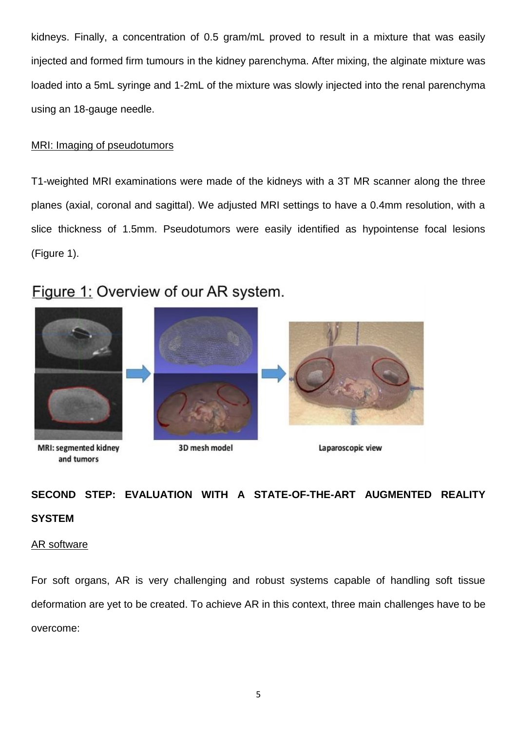kidneys. Finally, a concentration of 0.5 gram/mL proved to result in a mixture that was easily injected and formed firm tumours in the kidney parenchyma. After mixing, the alginate mixture was loaded into a 5mL syringe and 1-2mL of the mixture was slowly injected into the renal parenchyma using an 18-gauge needle.

# MRI: Imaging of pseudotumors

T1-weighted MRI examinations were made of the kidneys with a 3T MR scanner along the three planes (axial, coronal and sagittal). We adjusted MRI settings to have a 0.4mm resolution, with a slice thickness of 1.5mm. Pseudotumors were easily identified as hypointense focal lesions (Figure 1).

# Figure 1: Overview of our AR system.



**MRI: segmented kidney** and tumors



3D mesh model

Laparoscopic view

# **SECOND STEP: EVALUATION WITH A STATE-OF-THE-ART AUGMENTED REALITY SYSTEM**

# AR software

For soft organs, AR is very challenging and robust systems capable of handling soft tissue deformation are yet to be created. To achieve AR in this context, three main challenges have to be overcome: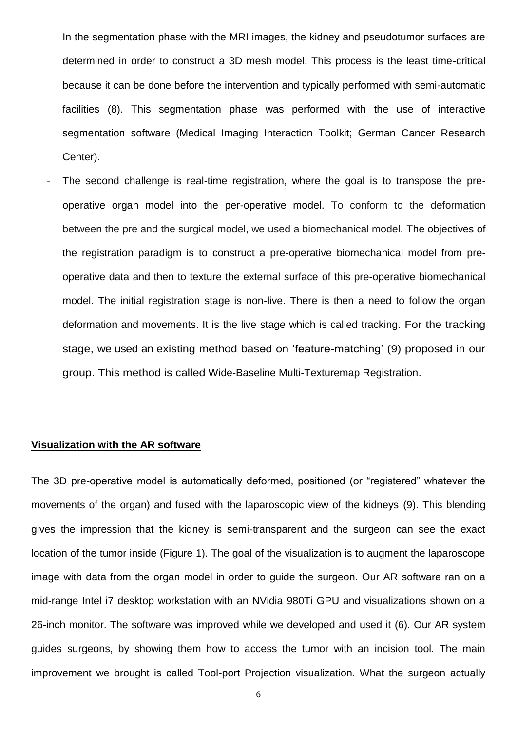- In the segmentation phase with the MRI images, the kidney and pseudotumor surfaces are determined in order to construct a 3D mesh model. This process is the least time-critical because it can be done before the intervention and typically performed with semi-automatic facilities (8). This segmentation phase was performed with the use of interactive segmentation software (Medical Imaging Interaction Toolkit; German Cancer Research Center).
- The second challenge is real-time registration, where the goal is to transpose the preoperative organ model into the per-operative model. To conform to the deformation between the pre and the surgical model, we used a biomechanical model. The objectives of the registration paradigm is to construct a pre-operative biomechanical model from preoperative data and then to texture the external surface of this pre-operative biomechanical model. The initial registration stage is non-live. There is then a need to follow the organ deformation and movements. It is the live stage which is called tracking. For the tracking stage, we used an existing method based on 'feature-matching' (9) proposed in our group. This method is called Wide-Baseline Multi-Texturemap Registration.

# **Visualization with the AR software**

The 3D pre-operative model is automatically deformed, positioned (or "registered" whatever the movements of the organ) and fused with the laparoscopic view of the kidneys (9). This blending gives the impression that the kidney is semi-transparent and the surgeon can see the exact location of the tumor inside (Figure 1). The goal of the visualization is to augment the laparoscope image with data from the organ model in order to guide the surgeon. Our AR software ran on a mid-range Intel i7 desktop workstation with an NVidia 980Ti GPU and visualizations shown on a 26-inch monitor. The software was improved while we developed and used it (6). Our AR system guides surgeons, by showing them how to access the tumor with an incision tool. The main improvement we brought is called Tool-port Projection visualization. What the surgeon actually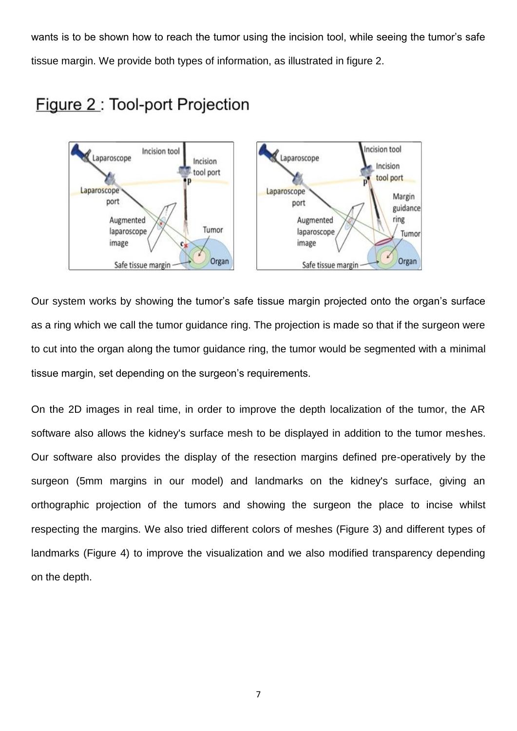wants is to be shown how to reach the tumor using the incision tool, while seeing the tumor's safe tissue margin. We provide both types of information, as illustrated in figure 2.



# Figure 2: Tool-port Projection

Our system works by showing the tumor's safe tissue margin projected onto the organ's surface as a ring which we call the tumor guidance ring. The projection is made so that if the surgeon were to cut into the organ along the tumor guidance ring, the tumor would be segmented with a minimal tissue margin, set depending on the surgeon's requirements.

On the 2D images in real time, in order to improve the depth localization of the tumor, the AR software also allows the kidney's surface mesh to be displayed in addition to the tumor meshes. Our software also provides the display of the resection margins defined pre-operatively by the surgeon (5mm margins in our model) and landmarks on the kidney's surface, giving an orthographic projection of the tumors and showing the surgeon the place to incise whilst respecting the margins. We also tried different colors of meshes (Figure 3) and different types of landmarks (Figure 4) to improve the visualization and we also modified transparency depending on the depth.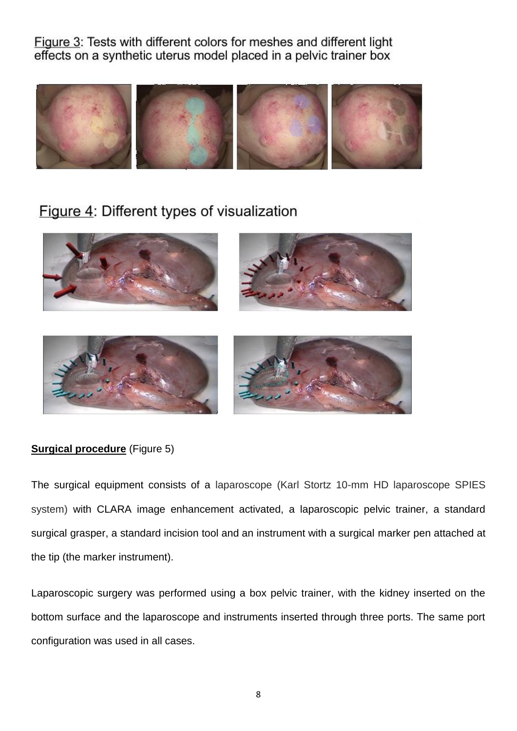Figure 3: Tests with different colors for meshes and different light effects on a synthetic uterus model placed in a pelvic trainer box



# Figure 4: Different types of visualization





# **Surgical procedure** (Figure 5)

The surgical equipment consists of a laparoscope (Karl Stortz 10-mm HD laparoscope SPIES system) with CLARA image enhancement activated, a laparoscopic pelvic trainer, a standard surgical grasper, a standard incision tool and an instrument with a surgical marker pen attached at the tip (the marker instrument).

Laparoscopic surgery was performed using a box pelvic trainer, with the kidney inserted on the bottom surface and the laparoscope and instruments inserted through three ports. The same port configuration was used in all cases.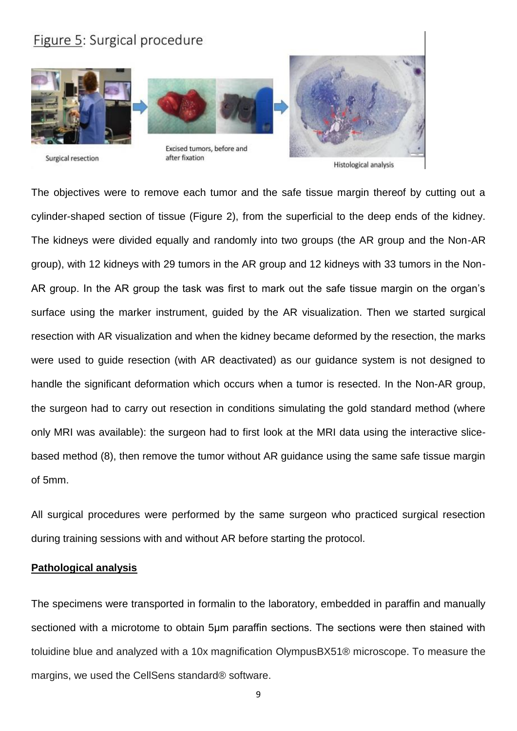

The objectives were to remove each tumor and the safe tissue margin thereof by cutting out a

cylinder-shaped section of tissue (Figure 2), from the superficial to the deep ends of the kidney. The kidneys were divided equally and randomly into two groups (the AR group and the Non-AR group), with 12 kidneys with 29 tumors in the AR group and 12 kidneys with 33 tumors in the Non-AR group. In the AR group the task was first to mark out the safe tissue margin on the organ's surface using the marker instrument, guided by the AR visualization. Then we started surgical resection with AR visualization and when the kidney became deformed by the resection, the marks were used to guide resection (with AR deactivated) as our guidance system is not designed to handle the significant deformation which occurs when a tumor is resected. In the Non-AR group, the surgeon had to carry out resection in conditions simulating the gold standard method (where only MRI was available): the surgeon had to first look at the MRI data using the interactive slicebased method (8), then remove the tumor without AR guidance using the same safe tissue margin of 5mm.

All surgical procedures were performed by the same surgeon who practiced surgical resection during training sessions with and without AR before starting the protocol.

## **Pathological analysis**

The specimens were transported in formalin to the laboratory, embedded in paraffin and manually sectioned with a microtome to obtain 5um paraffin sections. The sections were then stained with toluidine blue and analyzed with a 10x magnification OlympusBX51® microscope. To measure the margins, we used the CellSens standard® software.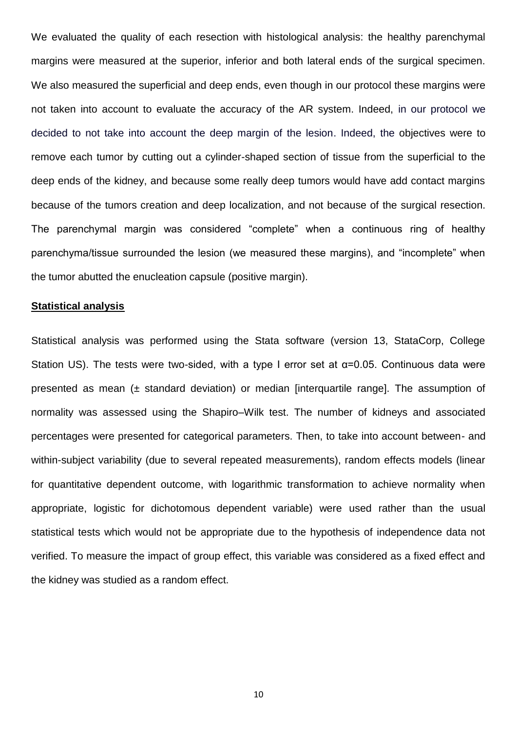We evaluated the quality of each resection with histological analysis: the healthy parenchymal margins were measured at the superior, inferior and both lateral ends of the surgical specimen. We also measured the superficial and deep ends, even though in our protocol these margins were not taken into account to evaluate the accuracy of the AR system. Indeed, in our protocol we decided to not take into account the deep margin of the lesion. Indeed, the objectives were to remove each tumor by cutting out a cylinder-shaped section of tissue from the superficial to the deep ends of the kidney, and because some really deep tumors would have add contact margins because of the tumors creation and deep localization, and not because of the surgical resection. The parenchymal margin was considered "complete" when a continuous ring of healthy parenchyma/tissue surrounded the lesion (we measured these margins), and "incomplete" when the tumor abutted the enucleation capsule (positive margin).

#### **Statistical analysis**

Statistical analysis was performed using the Stata software (version 13, StataCorp, College Station US). The tests were two-sided, with a type I error set at α=0.05. Continuous data were presented as mean  $(\pm$  standard deviation) or median [interquartile range]. The assumption of normality was assessed using the Shapiro–Wilk test. The number of kidneys and associated percentages were presented for categorical parameters. Then, to take into account between- and within-subject variability (due to several repeated measurements), random effects models (linear for quantitative dependent outcome, with logarithmic transformation to achieve normality when appropriate, logistic for dichotomous dependent variable) were used rather than the usual statistical tests which would not be appropriate due to the hypothesis of independence data not verified. To measure the impact of group effect, this variable was considered as a fixed effect and the kidney was studied as a random effect.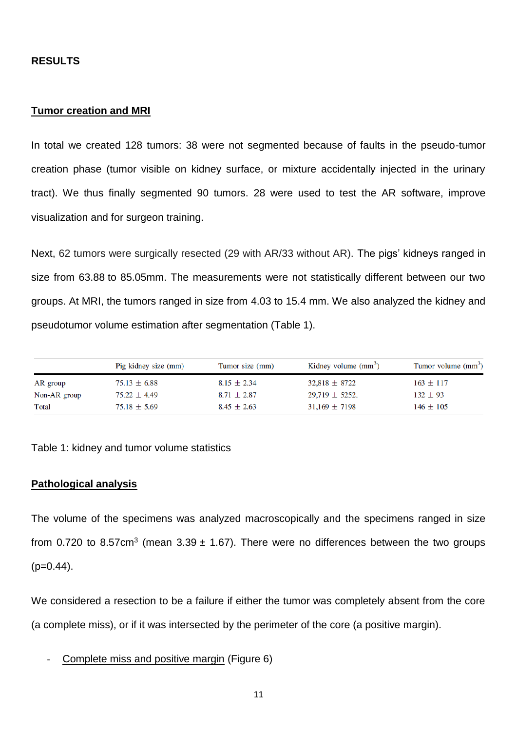## **RESULTS**

### **Tumor creation and MRI**

In total we created 128 tumors: 38 were not segmented because of faults in the pseudo-tumor creation phase (tumor visible on kidney surface, or mixture accidentally injected in the urinary tract). We thus finally segmented 90 tumors. 28 were used to test the AR software, improve visualization and for surgeon training.

Next, 62 tumors were surgically resected (29 with AR/33 without AR). The pigs' kidneys ranged in size from 63.88 to 85.05mm. The measurements were not statistically different between our two groups. At MRI, the tumors ranged in size from 4.03 to 15.4 mm. We also analyzed the kidney and pseudotumor volume estimation after segmentation (Table 1).

|              | Pig kidney size (mm) | Tumor size (mm) | Kidney volume $(mm3)$ | Tumor volume (mm <sup>3</sup> ) |
|--------------|----------------------|-----------------|-----------------------|---------------------------------|
| AR group     | $75.13 \pm 6.88$     | $8.15 \pm 2.34$ | $32,818 \pm 8722$     | $163 \pm 117$                   |
| Non-AR group | $75.22 \pm 4.49$     | $8.71 \pm 2.87$ | $29.719 \pm 5252$ .   | $132 \pm 93$                    |
| Total        | $75.18 \pm 5.69$     | $8.45 \pm 2.63$ | $31,169 \pm 7198$     | $146 \pm 105$                   |

Table 1: kidney and tumor volume statistics

## **Pathological analysis**

The volume of the specimens was analyzed macroscopically and the specimens ranged in size from 0.720 to 8.57cm<sup>3</sup> (mean 3.39  $\pm$  1.67). There were no differences between the two groups  $(p=0.44)$ .

We considered a resection to be a failure if either the tumor was completely absent from the core (a complete miss), or if it was intersected by the perimeter of the core (a positive margin).

Complete miss and positive margin (Figure 6)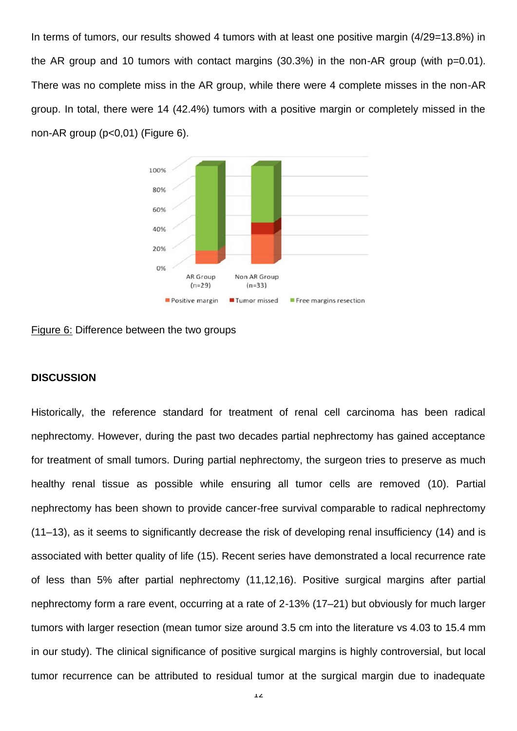In terms of tumors, our results showed 4 tumors with at least one positive margin (4/29=13.8%) in the AR group and 10 tumors with contact margins (30.3%) in the non-AR group (with p=0.01). There was no complete miss in the AR group, while there were 4 complete misses in the non-AR group. In total, there were 14 (42.4%) tumors with a positive margin or completely missed in the non-AR group (p<0,01) (Figure 6).



Figure 6: Difference between the two groups

## **DISCUSSION**

Historically, the reference standard for treatment of renal cell carcinoma has been radical nephrectomy. However, during the past two decades partial nephrectomy has gained acceptance for treatment of small tumors. During partial nephrectomy, the surgeon tries to preserve as much healthy renal tissue as possible while ensuring all tumor cells are removed (10). Partial nephrectomy has been shown to provide cancer-free survival comparable to radical nephrectomy (11–13), as it seems to significantly decrease the risk of developing renal insufficiency (14) and is associated with better quality of life (15). Recent series have demonstrated a local recurrence rate of less than 5% after partial nephrectomy (11,12,16). Positive surgical margins after partial nephrectomy form a rare event, occurring at a rate of 2-13% (17–21) but obviously for much larger tumors with larger resection (mean tumor size around 3.5 cm into the literature vs 4.03 to 15.4 mm in our study). The clinical significance of positive surgical margins is highly controversial, but local tumor recurrence can be attributed to residual tumor at the surgical margin due to inadequate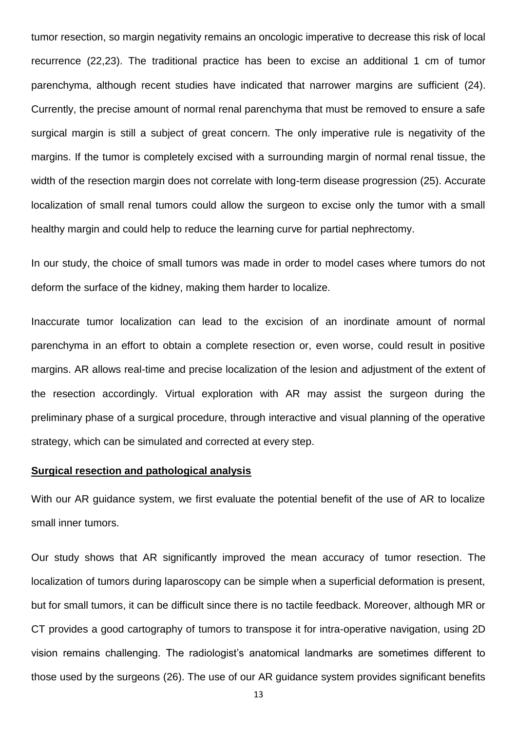tumor resection, so margin negativity remains an oncologic imperative to decrease this risk of local recurrence (22,23). The traditional practice has been to excise an additional 1 cm of tumor parenchyma, although recent studies have indicated that narrower margins are sufficient (24). Currently, the precise amount of normal renal parenchyma that must be removed to ensure a safe surgical margin is still a subject of great concern. The only imperative rule is negativity of the margins. If the tumor is completely excised with a surrounding margin of normal renal tissue, the width of the resection margin does not correlate with long-term disease progression (25). Accurate localization of small renal tumors could allow the surgeon to excise only the tumor with a small healthy margin and could help to reduce the learning curve for partial nephrectomy.

In our study, the choice of small tumors was made in order to model cases where tumors do not deform the surface of the kidney, making them harder to localize.

Inaccurate tumor localization can lead to the excision of an inordinate amount of normal parenchyma in an effort to obtain a complete resection or, even worse, could result in positive margins. AR allows real-time and precise localization of the lesion and adjustment of the extent of the resection accordingly. Virtual exploration with AR may assist the surgeon during the preliminary phase of a surgical procedure, through interactive and visual planning of the operative strategy, which can be simulated and corrected at every step.

## **Surgical resection and pathological analysis**

With our AR guidance system, we first evaluate the potential benefit of the use of AR to localize small inner tumors.

Our study shows that AR significantly improved the mean accuracy of tumor resection. The localization of tumors during laparoscopy can be simple when a superficial deformation is present, but for small tumors, it can be difficult since there is no tactile feedback. Moreover, although MR or CT provides a good cartography of tumors to transpose it for intra-operative navigation, using 2D vision remains challenging. The radiologist's anatomical landmarks are sometimes different to those used by the surgeons (26). The use of our AR guidance system provides significant benefits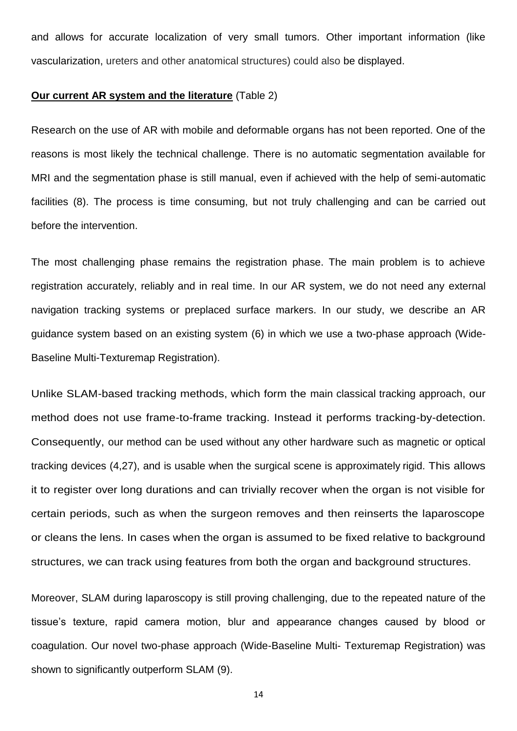and allows for accurate localization of very small tumors. Other important information (like vascularization, ureters and other anatomical structures) could also be displayed.

### **Our current AR system and the literature** (Table 2)

Research on the use of AR with mobile and deformable organs has not been reported. One of the reasons is most likely the technical challenge. There is no automatic segmentation available for MRI and the segmentation phase is still manual, even if achieved with the help of semi-automatic facilities (8). The process is time consuming, but not truly challenging and can be carried out before the intervention.

The most challenging phase remains the registration phase. The main problem is to achieve registration accurately, reliably and in real time. In our AR system, we do not need any external navigation tracking systems or preplaced surface markers. In our study, we describe an AR guidance system based on an existing system (6) in which we use a two-phase approach (Wide-Baseline Multi-Texturemap Registration).

Unlike SLAM-based tracking methods, which form the main classical tracking approach, our method does not use frame-to-frame tracking. Instead it performs tracking-by-detection. Consequently, our method can be used without any other hardware such as magnetic or optical tracking devices (4,27), and is usable when the surgical scene is approximately rigid. This allows it to register over long durations and can trivially recover when the organ is not visible for certain periods, such as when the surgeon removes and then reinserts the laparoscope or cleans the lens. In cases when the organ is assumed to be fixed relative to background structures, we can track using features from both the organ and background structures.

Moreover, SLAM during laparoscopy is still proving challenging, due to the repeated nature of the tissue's texture, rapid camera motion, blur and appearance changes caused by blood or coagulation. Our novel two-phase approach (Wide-Baseline Multi- Texturemap Registration) was shown to significantly outperform SLAM (9).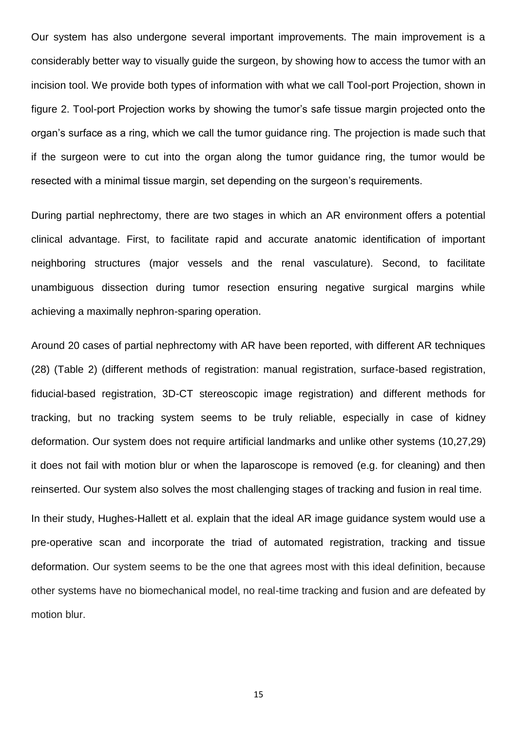Our system has also undergone several important improvements. The main improvement is a considerably better way to visually guide the surgeon, by showing how to access the tumor with an incision tool. We provide both types of information with what we call Tool-port Projection, shown in figure 2. Tool-port Projection works by showing the tumor's safe tissue margin projected onto the organ's surface as a ring, which we call the tumor guidance ring. The projection is made such that if the surgeon were to cut into the organ along the tumor guidance ring, the tumor would be resected with a minimal tissue margin, set depending on the surgeon's requirements.

During partial nephrectomy, there are two stages in which an AR environment offers a potential clinical advantage. First, to facilitate rapid and accurate anatomic identification of important neighboring structures (major vessels and the renal vasculature). Second, to facilitate unambiguous dissection during tumor resection ensuring negative surgical margins while achieving a maximally nephron-sparing operation.

Around 20 cases of partial nephrectomy with AR have been reported, with different AR techniques (28) (Table 2) (different methods of registration: manual registration, surface-based registration, fiducial-based registration, 3D-CT stereoscopic image registration) and different methods for tracking, but no tracking system seems to be truly reliable, especially in case of kidney deformation. Our system does not require artificial landmarks and unlike other systems (10,27,29) it does not fail with motion blur or when the laparoscope is removed (e.g. for cleaning) and then reinserted. Our system also solves the most challenging stages of tracking and fusion in real time.

In their study, Hughes-Hallett et al. explain that the ideal AR image guidance system would use a pre-operative scan and incorporate the triad of automated registration, tracking and tissue deformation. Our system seems to be the one that agrees most with this ideal definition, because other systems have no biomechanical model, no real-time tracking and fusion and are defeated by motion blur.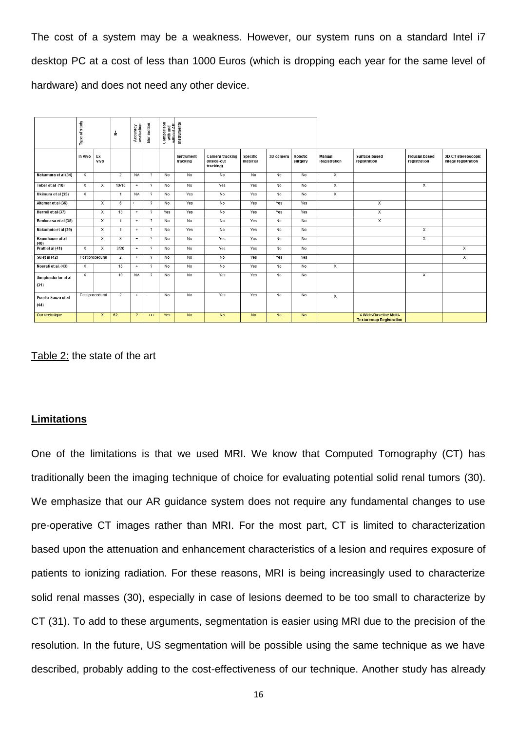The cost of a system may be a weakness. However, our system runs on a standard Intel i7 desktop PC at a cost of less than 1000 Euros (which is dropping each year for the same level of hardware) and does not need any other device.

|                            | Type of study           |                         | Ψ.                      | Accuracy<br>evaluation | blur motion              | Comparison<br>with and<br>without AR | Instruments            |                                             |                      |           |                    |                        |                                                          |                                |                                          |
|----------------------------|-------------------------|-------------------------|-------------------------|------------------------|--------------------------|--------------------------------------|------------------------|---------------------------------------------|----------------------|-----------|--------------------|------------------------|----------------------------------------------------------|--------------------------------|------------------------------------------|
|                            | In Vivo                 | Ex<br>Vivo              |                         |                        |                          |                                      | Instrument<br>tracking | Camera tracking<br>(Inside-out<br>tracking) | Specific<br>material | 3D camera | Robotic<br>surgery | Manual<br>Registration | Surface-based<br>registration                            | Fiducial-based<br>registration | 3D-CT stereoscopic<br>image registration |
| Nakamura et al (34)        | $\overline{X}$          |                         | $\overline{2}$          | <b>NA</b>              | $\overline{?}$           | N <sub>o</sub>                       | N <sub>o</sub>         | N <sub>o</sub>                              | <b>No</b>            | <b>No</b> | N <sub>0</sub>     | $\overline{x}$         |                                                          |                                |                                          |
| Teber et al (10)           | $\overline{\mathsf{x}}$ | $\overline{\mathsf{x}}$ | 10/10                   | $+$                    | $\overline{?}$           | No                                   | No                     | Yes                                         | Yes                  | No        | No                 | $\overline{x}$         |                                                          | $\overline{\mathsf{x}}$        |                                          |
| Ukimura et al (35)         | $\times$                |                         | $\overline{1}$          | <b>NA</b>              | $\overline{ }$           | No                                   | Yes                    | No                                          | Yes                  | No        | No                 | $\overline{x}$         |                                                          |                                |                                          |
| Altamar et al (36)         |                         | $\mathsf{x}$            | 6                       | $\ddot{}$              | $\overline{?}$           | No                                   | Yes                    | N <sub>0</sub>                              | Yes                  | Yes       | Yes                |                        | x                                                        |                                |                                          |
| Herrell et al (37)         |                         | $\overline{\mathsf{x}}$ | 13                      | $+$                    | $\overline{?}$           | Yes                                  | Yes                    | No                                          | Yes                  | Yes       | Yes                |                        | $\overline{x}$                                           |                                |                                          |
| Benincasa et al (38)       |                         | $\overline{\mathsf{x}}$ | $\overline{1}$          | $+$                    | $\overline{?}$           | No                                   | $\overline{N_{0}}$     | No                                          | Yes                  | No        | No                 |                        | $\overline{x}$                                           |                                |                                          |
| Nakamoto et al (39)        |                         | $\times$                | $\overline{1}$          | $+$                    | $\overline{2}$           | No                                   | Yes                    | No                                          | Yes                  | No        | No                 |                        |                                                          | X                              |                                          |
| Baumhauer et al<br>(40)    |                         | $\overline{\mathbf{x}}$ | $\overline{\mathbf{3}}$ | $+$                    | $\overline{?}$           | No                                   | No                     | Yes                                         | Yes                  | No        | No                 |                        |                                                          | $\overline{\mathsf{x}}$        |                                          |
| Pratt et al (41)           | $\overline{\mathsf{x}}$ | $\overline{\mathsf{x}}$ | 3/20                    | $\ddot{}$              | $\overline{?}$           | No                                   | <b>No</b>              | Yes                                         | Yes                  | No        | No                 |                        |                                                          |                                | $\overline{\mathsf{x}}$                  |
| Su et al (42)              |                         | Post procedural         | 2                       | $+$                    | $\overline{z}$           | No                                   | No                     | No                                          | Yes                  | Yes       | Yes                |                        |                                                          |                                | $\overline{x}$                           |
| Nosrati et al. (43)        | $\mathsf{X}$            |                         | 15                      | $+$                    | $\overline{\phantom{a}}$ | No                                   | No                     | No                                          | Yes                  | No        | No                 | $\mathsf{x}$           |                                                          |                                |                                          |
| Simpfendörfer et al        | Х                       |                         | 10                      | <b>NA</b>              | $\overline{?}$           | No                                   | No                     | Yes                                         | Yes                  | No        | No                 |                        |                                                          | $\overline{\mathsf{x}}$        |                                          |
| (31)                       |                         |                         |                         |                        |                          |                                      |                        |                                             |                      |           |                    |                        |                                                          |                                |                                          |
| Puerto-Souza et al<br>(44) |                         | Post procedural         | 2                       | $+$                    |                          | No                                   | No                     | Yes                                         | Yes                  | No        | No                 | $\times$               |                                                          |                                |                                          |
| Our technique              |                         | $\mathsf{x}$            | 62                      | $\overline{2}$         | $***$                    | Yes                                  | <b>No</b>              | <b>No</b>                                   | <b>No</b>            | <b>No</b> | <b>No</b>          |                        | X Wide-Baseline Multi-<br><b>Texturemap Registration</b> |                                |                                          |

Table 2: the state of the art

# **Limitations**

One of the limitations is that we used MRI. We know that Computed Tomography (CT) has traditionally been the imaging technique of choice for evaluating potential solid renal tumors (30). We emphasize that our AR quidance system does not require any fundamental changes to use pre-operative CT images rather than MRI. For the most part, CT is limited to characterization based upon the attenuation and enhancement characteristics of a lesion and requires exposure of patients to ionizing radiation. For these reasons, MRI is being increasingly used to characterize solid renal masses (30), especially in case of lesions deemed to be too small to characterize by CT (31). To add to these arguments, segmentation is easier using MRI due to the precision of the resolution. In the future, US segmentation will be possible using the same technique as we have described, probably adding to the cost-effectiveness of our technique. Another study has already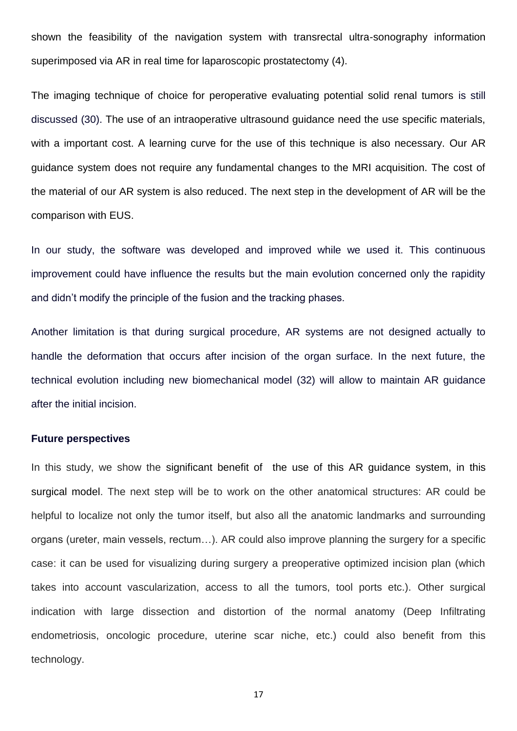shown the feasibility of the navigation system with transrectal ultra-sonography information superimposed via AR in real time for laparoscopic prostatectomy (4).

The imaging technique of choice for peroperative evaluating potential solid renal tumors is still discussed (30). The use of an intraoperative ultrasound guidance need the use specific materials, with a important cost. A learning curve for the use of this technique is also necessary. Our AR guidance system does not require any fundamental changes to the MRI acquisition. The cost of the material of our AR system is also reduced. The next step in the development of AR will be the comparison with EUS.

In our study, the software was developed and improved while we used it. This continuous improvement could have influence the results but the main evolution concerned only the rapidity and didn't modify the principle of the fusion and the tracking phases.

Another limitation is that during surgical procedure, AR systems are not designed actually to handle the deformation that occurs after incision of the organ surface. In the next future, the technical evolution including new biomechanical model (32) will allow to maintain AR guidance after the initial incision.

#### **Future perspectives**

In this study, we show the significant benefit of the use of this AR guidance system, in this surgical model. The next step will be to work on the other anatomical structures: AR could be helpful to localize not only the tumor itself, but also all the anatomic landmarks and surrounding organs (ureter, main vessels, rectum…). AR could also improve planning the surgery for a specific case: it can be used for visualizing during surgery a preoperative optimized incision plan (which takes into account vascularization, access to all the tumors, tool ports etc.). Other surgical indication with large dissection and distortion of the normal anatomy (Deep Infiltrating endometriosis, oncologic procedure, uterine scar niche, etc.) could also benefit from this technology.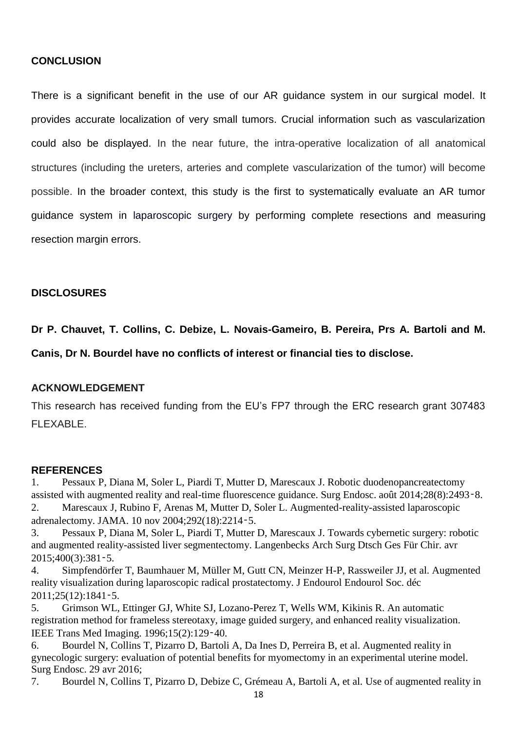# **CONCLUSION**

There is a significant benefit in the use of our AR guidance system in our surgical model. It provides accurate localization of very small tumors. Crucial information such as vascularization could also be displayed. In the near future, the intra-operative localization of all anatomical structures (including the ureters, arteries and complete vascularization of the tumor) will become possible. In the broader context, this study is the first to systematically evaluate an AR tumor guidance system in laparoscopic surgery by performing complete resections and measuring resection margin errors.

## **DISCLOSURES**

**Dr P. Chauvet, T. Collins, C. Debize, L. Novais-Gameiro, B. Pereira, Prs A. Bartoli and M.** 

**Canis, Dr N. Bourdel have no conflicts of interest or financial ties to disclose.** 

#### **ACKNOWLEDGEMENT**

This research has received funding from the EU's FP7 through the ERC research grant 307483 FLEXABLE.

#### **REFERENCES**

1. Pessaux P, Diana M, Soler L, Piardi T, Mutter D, Marescaux J. Robotic duodenopancreatectomy assisted with augmented reality and real-time fluorescence guidance. Surg Endosc. août 2014;28(8):2493‑8. 2. Marescaux J, Rubino F, Arenas M, Mutter D, Soler L. Augmented-reality-assisted laparoscopic adrenalectomy. JAMA. 10 nov 2004;292(18):2214‑5.

3. Pessaux P, Diana M, Soler L, Piardi T, Mutter D, Marescaux J. Towards cybernetic surgery: robotic and augmented reality-assisted liver segmentectomy. Langenbecks Arch Surg Dtsch Ges Für Chir. avr 2015;400(3):381‑5.

4. Simpfendörfer T, Baumhauer M, Müller M, Gutt CN, Meinzer H-P, Rassweiler JJ, et al. Augmented reality visualization during laparoscopic radical prostatectomy. J Endourol Endourol Soc. déc 2011;25(12):1841‑5.

5. Grimson WL, Ettinger GJ, White SJ, Lozano-Perez T, Wells WM, Kikinis R. An automatic registration method for frameless stereotaxy, image guided surgery, and enhanced reality visualization. IEEE Trans Med Imaging. 1996;15(2):129‑40.

6. Bourdel N, Collins T, Pizarro D, Bartoli A, Da Ines D, Perreira B, et al. Augmented reality in gynecologic surgery: evaluation of potential benefits for myomectomy in an experimental uterine model. Surg Endosc. 29 avr 2016;

7. Bourdel N, Collins T, Pizarro D, Debize C, Grémeau A, Bartoli A, et al. Use of augmented reality in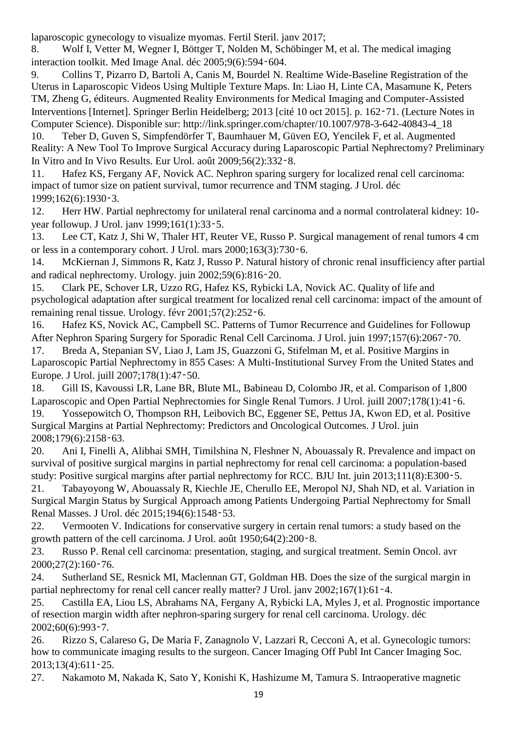laparoscopic gynecology to visualize myomas. Fertil Steril. janv 2017;

8. Wolf I, Vetter M, Wegner I, Böttger T, Nolden M, Schöbinger M, et al. The medical imaging interaction toolkit. Med Image Anal. déc 2005;9(6):594‑604.

9. Collins T, Pizarro D, Bartoli A, Canis M, Bourdel N. Realtime Wide-Baseline Registration of the Uterus in Laparoscopic Videos Using Multiple Texture Maps. In: Liao H, Linte CA, Masamune K, Peters TM, Zheng G, éditeurs. Augmented Reality Environments for Medical Imaging and Computer-Assisted Interventions [Internet]. Springer Berlin Heidelberg; 2013 [cité 10 oct 2015]. p. 162‑71. (Lecture Notes in Computer Science). Disponible sur: http://link.springer.com/chapter/10.1007/978-3-642-40843-4\_18

10. Teber D, Guven S, Simpfendörfer T, Baumhauer M, Güven EO, Yencilek F, et al. Augmented Reality: A New Tool To Improve Surgical Accuracy during Laparoscopic Partial Nephrectomy? Preliminary In Vitro and In Vivo Results. Eur Urol. août 2009;56(2):332‑8.

11. Hafez KS, Fergany AF, Novick AC. Nephron sparing surgery for localized renal cell carcinoma: impact of tumor size on patient survival, tumor recurrence and TNM staging. J Urol. déc 1999;162(6):1930‑3.

12. Herr HW. Partial nephrectomy for unilateral renal carcinoma and a normal controlateral kidney: 10 year followup. J Urol. janv 1999;161(1):33‑5.

13. Lee CT, Katz J, Shi W, Thaler HT, Reuter VE, Russo P. Surgical management of renal tumors 4 cm or less in a contemporary cohort. J Urol. mars 2000;163(3):730‑6.

14. McKiernan J, Simmons R, Katz J, Russo P. Natural history of chronic renal insufficiency after partial and radical nephrectomy. Urology. juin 2002;59(6):816‑20.

15. Clark PE, Schover LR, Uzzo RG, Hafez KS, Rybicki LA, Novick AC. Quality of life and psychological adaptation after surgical treatment for localized renal cell carcinoma: impact of the amount of remaining renal tissue. Urology. févr 2001;57(2):252‑6.

16. Hafez KS, Novick AC, Campbell SC. Patterns of Tumor Recurrence and Guidelines for Followup After Nephron Sparing Surgery for Sporadic Renal Cell Carcinoma. J Urol. juin 1997;157(6):2067‑70.

17. Breda A, Stepanian SV, Liao J, Lam JS, Guazzoni G, Stifelman M, et al. Positive Margins in Laparoscopic Partial Nephrectomy in 855 Cases: A Multi-Institutional Survey From the United States and Europe. J Urol. juill 2007;178(1):47‑50.

18. Gill IS, Kavoussi LR, Lane BR, Blute ML, Babineau D, Colombo JR, et al. Comparison of 1,800 Laparoscopic and Open Partial Nephrectomies for Single Renal Tumors. J Urol. juill 2007;178(1):41-6.

19. Yossepowitch O, Thompson RH, Leibovich BC, Eggener SE, Pettus JA, Kwon ED, et al. Positive Surgical Margins at Partial Nephrectomy: Predictors and Oncological Outcomes. J Urol. juin 2008;179(6):2158‑63.

20. Ani I, Finelli A, Alibhai SMH, Timilshina N, Fleshner N, Abouassaly R. Prevalence and impact on survival of positive surgical margins in partial nephrectomy for renal cell carcinoma: a population-based study: Positive surgical margins after partial nephrectomy for RCC. BJU Int. juin 2013;111(8):E300-5.

21. Tabayoyong W, Abouassaly R, Kiechle JE, Cherullo EE, Meropol NJ, Shah ND, et al. Variation in Surgical Margin Status by Surgical Approach among Patients Undergoing Partial Nephrectomy for Small Renal Masses. J Urol. déc 2015;194(6):1548‑53.

22. Vermooten V. Indications for conservative surgery in certain renal tumors: a study based on the growth pattern of the cell carcinoma. J Urol. août 1950;64(2):200‑8.

23. Russo P. Renal cell carcinoma: presentation, staging, and surgical treatment. Semin Oncol. avr 2000;27(2):160‑76.

24. Sutherland SE, Resnick MI, Maclennan GT, Goldman HB. Does the size of the surgical margin in partial nephrectomy for renal cell cancer really matter? J Urol. jany 2002;167(1):61-4.

25. Castilla EA, Liou LS, Abrahams NA, Fergany A, Rybicki LA, Myles J, et al. Prognostic importance of resection margin width after nephron-sparing surgery for renal cell carcinoma. Urology. déc 2002;60(6):993‑7.

26. Rizzo S, Calareso G, De Maria F, Zanagnolo V, Lazzari R, Cecconi A, et al. Gynecologic tumors: how to communicate imaging results to the surgeon. Cancer Imaging Off Publ Int Cancer Imaging Soc. 2013;13(4):611‑25.

27. Nakamoto M, Nakada K, Sato Y, Konishi K, Hashizume M, Tamura S. Intraoperative magnetic